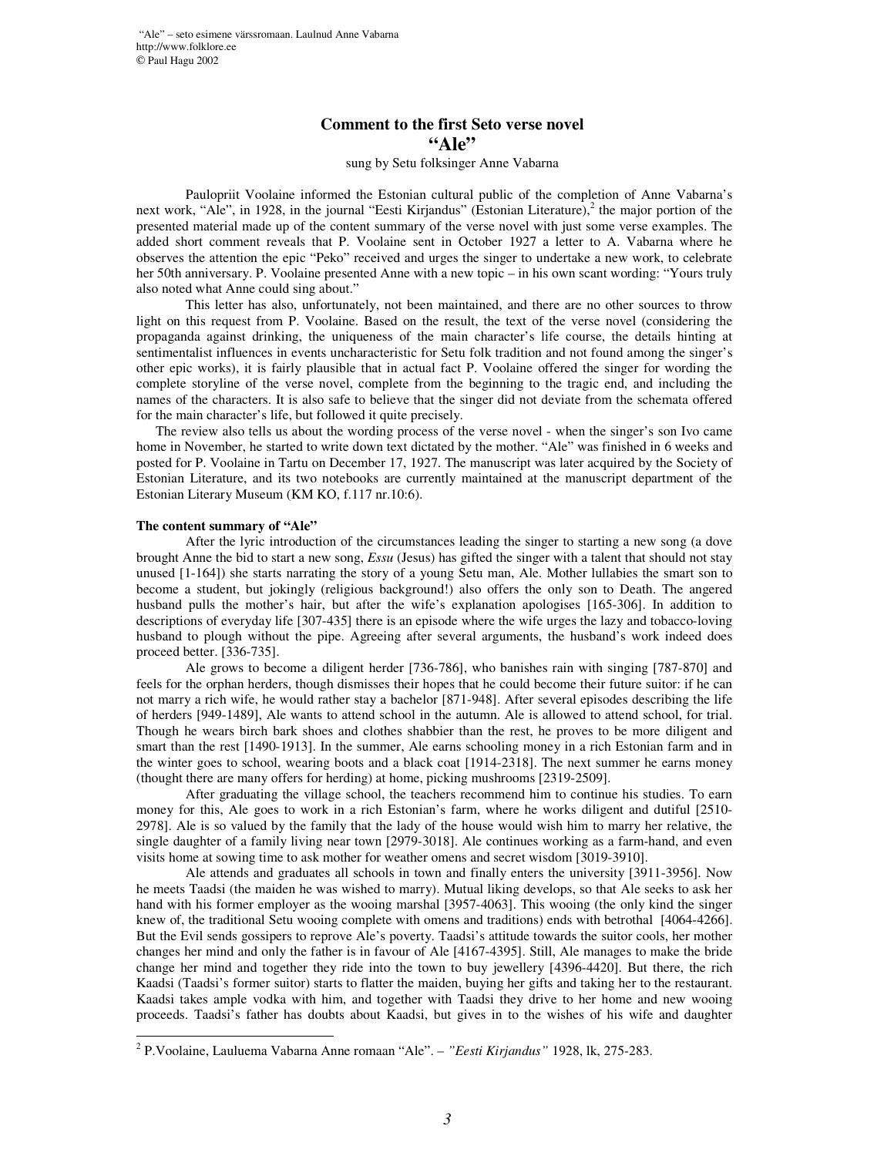## **Comment to the first Seto verse novel "Ale"**

## sung by Setu folksinger Anne Vabarna

Paulopriit Voolaine informed the Estonian cultural public of the completion of Anne Vabarna's next work, "Ale", in 1928, in the journal "Eesti Kirjandus" (Estonian Literature),<sup>2</sup> the major portion of the presented material made up of the content summary of the verse novel with just some verse examples. The added short comment reveals that P. Voolaine sent in October 1927 a letter to A. Vabarna where he observes the attention the epic "Peko" received and urges the singer to undertake a new work, to celebrate her 50th anniversary. P. Voolaine presented Anne with a new topic – in his own scant wording: "Yours truly also noted what Anne could sing about."

This letter has also, unfortunately, not been maintained, and there are no other sources to throw light on this request from P. Voolaine. Based on the result, the text of the verse novel (considering the propaganda against drinking, the uniqueness of the main character's life course, the details hinting at sentimentalist influences in events uncharacteristic for Setu folk tradition and not found among the singer's other epic works), it is fairly plausible that in actual fact P. Voolaine offered the singer for wording the complete storyline of the verse novel, complete from the beginning to the tragic end, and including the names of the characters. It is also safe to believe that the singer did not deviate from the schemata offered for the main character's life, but followed it quite precisely.

The review also tells us about the wording process of the verse novel - when the singer's son Ivo came home in November, he started to write down text dictated by the mother. "Ale" was finished in 6 weeks and posted for P. Voolaine in Tartu on December 17, 1927. The manuscript was later acquired by the Society of Estonian Literature, and its two notebooks are currently maintained at the manuscript department of the Estonian Literary Museum (KM KO, f.117 nr.10:6).

## **The content summary of "Ale"**

After the lyric introduction of the circumstances leading the singer to starting a new song (a dove brought Anne the bid to start a new song, *Essu* (Jesus) has gifted the singer with a talent that should not stay unused [1-164]) she starts narrating the story of a young Setu man, Ale. Mother lullabies the smart son to become a student, but jokingly (religious background!) also offers the only son to Death. The angered husband pulls the mother's hair, but after the wife's explanation apologises [165-306]. In addition to descriptions of everyday life [307-435] there is an episode where the wife urges the lazy and tobacco-loving husband to plough without the pipe. Agreeing after several arguments, the husband's work indeed does proceed better. [336-735].

Ale grows to become a diligent herder [736-786], who banishes rain with singing [787-870] and feels for the orphan herders, though dismisses their hopes that he could become their future suitor: if he can not marry a rich wife, he would rather stay a bachelor [871-948]. After several episodes describing the life of herders [949-1489], Ale wants to attend school in the autumn. Ale is allowed to attend school, for trial. Though he wears birch bark shoes and clothes shabbier than the rest, he proves to be more diligent and smart than the rest [1490-1913]. In the summer, Ale earns schooling money in a rich Estonian farm and in the winter goes to school, wearing boots and a black coat [1914-2318]. The next summer he earns money (thought there are many offers for herding) at home, picking mushrooms [2319-2509].

After graduating the village school, the teachers recommend him to continue his studies. To earn money for this, Ale goes to work in a rich Estonian's farm, where he works diligent and dutiful [2510- 2978]. Ale is so valued by the family that the lady of the house would wish him to marry her relative, the single daughter of a family living near town [2979-3018]. Ale continues working as a farm-hand, and even visits home at sowing time to ask mother for weather omens and secret wisdom [3019-3910].

Ale attends and graduates all schools in town and finally enters the university [3911-3956]. Now he meets Taadsi (the maiden he was wished to marry). Mutual liking develops, so that Ale seeks to ask her hand with his former employer as the wooing marshal [3957-4063]. This wooing (the only kind the singer knew of, the traditional Setu wooing complete with omens and traditions) ends with betrothal [4064-4266]. But the Evil sends gossipers to reprove Ale's poverty. Taadsi's attitude towards the suitor cools, her mother changes her mind and only the father is in favour of Ale [4167-4395]. Still, Ale manages to make the bride change her mind and together they ride into the town to buy jewellery [4396-4420]. But there, the rich Kaadsi (Taadsi's former suitor) starts to flatter the maiden, buying her gifts and taking her to the restaurant. Kaadsi takes ample vodka with him, and together with Taadsi they drive to her home and new wooing proceeds. Taadsi's father has doubts about Kaadsi, but gives in to the wishes of his wife and daughter

<sup>2</sup> P.Voolaine, Lauluema Vabarna Anne romaan "Ale". – *"Eesti Kirjandus"* 1928, lk, 275-283.